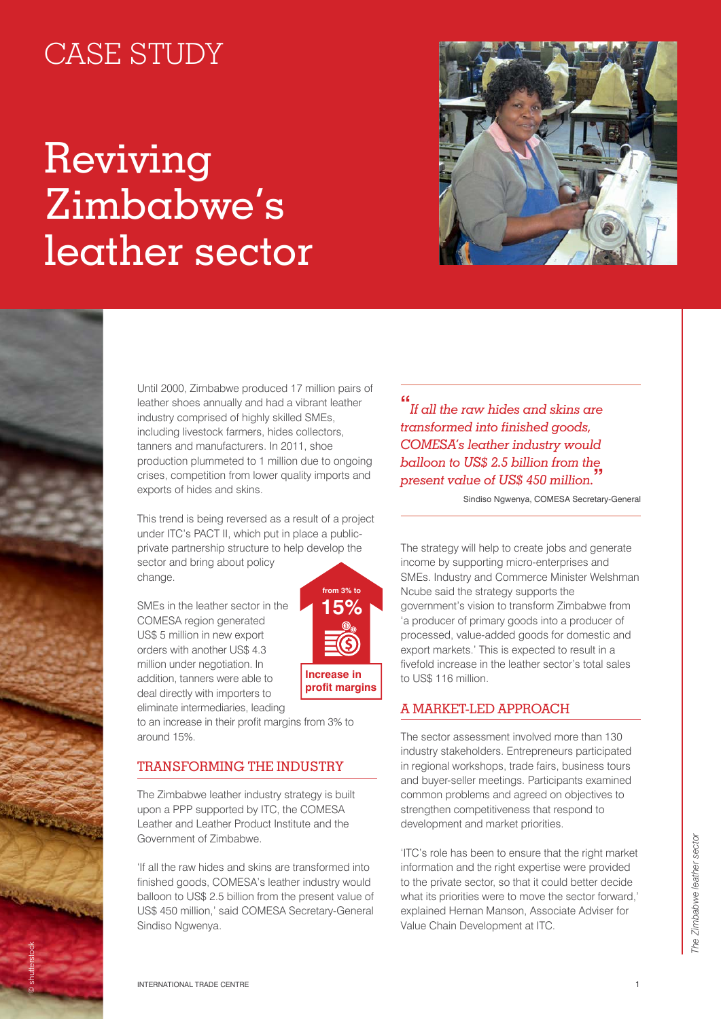## CASE STUDY

# Reviving Zimbabwe's leather sector



Until 2000, Zimbabwe produced 17 million pairs of leather shoes annually and had a vibrant leather industry comprised of highly skilled SMEs, including livestock farmers, hides collectors, tanners and manufacturers. In 2011, shoe production plummeted to 1 million due to ongoing crises, competition from lower quality imports and exports of hides and skins.

This trend is being reversed as a result of a project under ITC's PACT II, which put in place a publicprivate partnership structure to help develop the sector and bring about policy change.

SMEs in the leather sector in the COMESA region generated US\$ 5 million in new export orders with another US\$ 4.3 million under negotiation. In addition, tanners were able to deal directly with importers to eliminate intermediaries, leading



to an increase in their profit margins from 3% to around 15%.

### Transforming the industry

The Zimbabwe leather industry strategy is built upon a PPP supported by ITC, the COMESA Leather and Leather Product Institute and the Government of Zimbabwe.

'If all the raw hides and skins are transformed into finished goods, COMESA's leather industry would balloon to US\$ 2.5 billion from the present value of US\$ 450 million,' said COMESA Secretary-General Sindiso Ngwenya.

**"** *If all the raw hides and skins are transformed into finished goods, COMESA's leather industry would balloon to US\$ 2.5 billion from the present value of US\$ 450 million.***"**

Sindiso Ngwenya, COMESA Secretary-General

The strategy will help to create jobs and generate income by supporting micro-enterprises and SMEs. Industry and Commerce Minister Welshman Ncube said the strategy supports the government's vision to transform Zimbabwe from 'a producer of primary goods into a producer of processed, value-added goods for domestic and export markets.' This is expected to result in a fivefold increase in the leather sector's total sales to US\$ 116 million.

### A market-led approach

The sector assessment involved more than 130 industry stakeholders. Entrepreneurs participated in regional workshops, trade fairs, business tours and buyer-seller meetings. Participants examined common problems and agreed on objectives to strengthen competitiveness that respond to development and market priorities.

'ITC's role has been to ensure that the right market information and the right expertise were provided to the private sector, so that it could better decide what its priorities were to move the sector forward,' explained Hernan Manson, Associate Adviser for Value Chain Development at ITC.